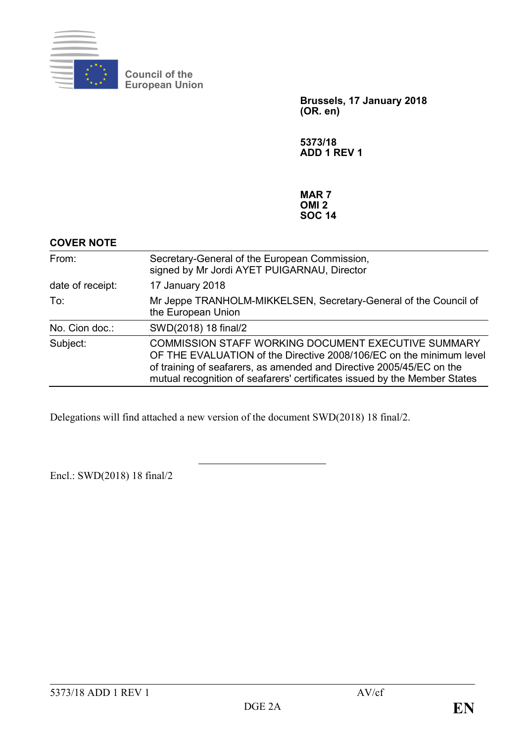

**Council of the European Union**

> **Brussels, 17 January 2018 (OR. en)**

**5373/18 ADD 1 REV 1**

**MAR 7 OMI 2 SOC 14**

| <b>COVER NOTE</b> |                                                                                                                                                                                                                                                                                        |
|-------------------|----------------------------------------------------------------------------------------------------------------------------------------------------------------------------------------------------------------------------------------------------------------------------------------|
| From:             | Secretary-General of the European Commission,<br>signed by Mr Jordi AYET PUIGARNAU, Director                                                                                                                                                                                           |
| date of receipt:  | 17 January 2018                                                                                                                                                                                                                                                                        |
| To:               | Mr Jeppe TRANHOLM-MIKKELSEN, Secretary-General of the Council of<br>the European Union                                                                                                                                                                                                 |
| No. Cion doc.:    | SWD(2018) 18 final/2                                                                                                                                                                                                                                                                   |
| Subject:          | <b>COMMISSION STAFF WORKING DOCUMENT EXECUTIVE SUMMARY</b><br>OF THE EVALUATION of the Directive 2008/106/EC on the minimum level<br>of training of seafarers, as amended and Directive 2005/45/EC on the<br>mutual recognition of seafarers' certificates issued by the Member States |

Delegations will find attached a new version of the document SWD(2018) 18 final/2.

Encl.: SWD(2018) 18 final/2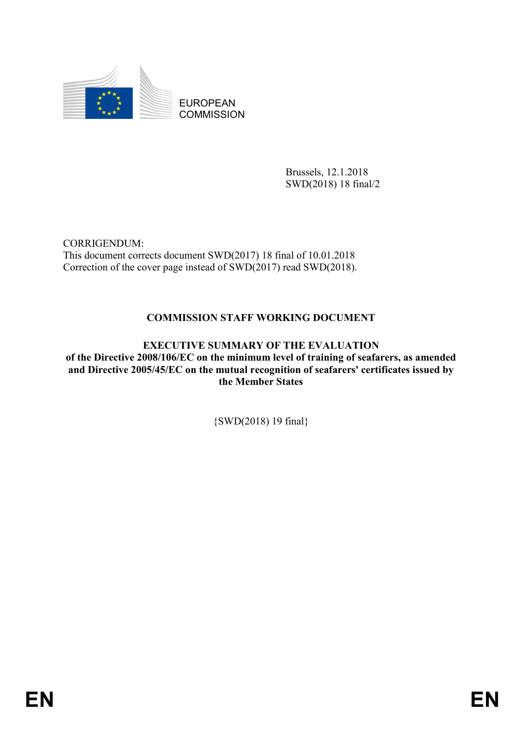

EUROPEAN **COMMISSION** 

> Brussels, 12.1.2018 SWD(2018) 18 final/2

CORRIGENDUM: This document corrects document SWD(2017) 18 final of 10.01.2018 Correction of the cover page instead of SWD(2017) read SWD(2018).

# **COMMISSION STAFF WORKING DOCUMENT**

# **EXECUTIVE SUMMARY OF THE EVALUATION**

**of the Directive 2008/106/EC on the minimum level of training of seafarers, as amended and Directive 2005/45/EC on the mutual recognition of seafarers' certificates issued by the Member States**

{SWD(2018) 19 final}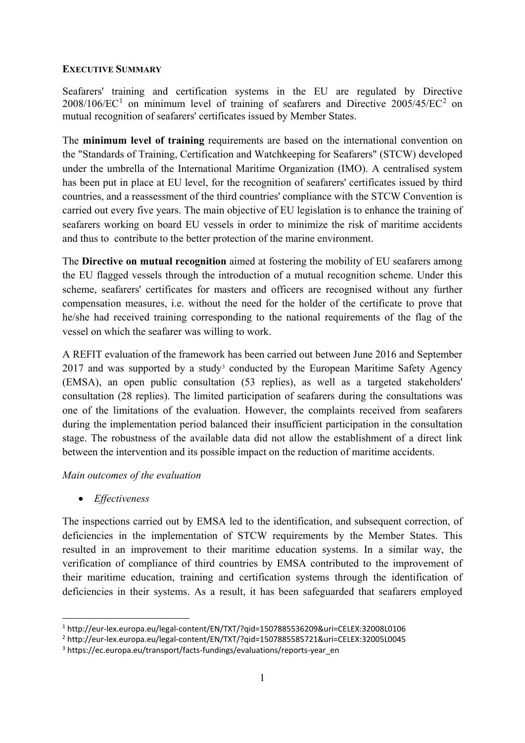### **EXECUTIVE SUMMARY**

Seafarers' training and certification systems in the EU are regulated by Directive  $2008/106/EC^1$  $2008/106/EC^1$  $2008/106/EC^1$  on minimum level of training of seafarers and Directive  $2005/45/EC^2$  $2005/45/EC^2$  on mutual recognition of seafarers' certificates issued by Member States.

The **minimum level of training** requirements are based on the international convention on the "Standards of Training, Certification and Watchkeeping for Seafarers" (STCW) developed under the umbrella of the International Maritime Organization (IMO). A centralised system has been put in place at EU level, for the recognition of seafarers' certificates issued by third countries, and a reassessment of the third countries' compliance with the STCW Convention is carried out every five years. The main objective of EU legislation is to enhance the training of seafarers working on board EU vessels in order to minimize the risk of maritime accidents and thus to contribute to the better protection of the marine environment.

The **Directive on mutual recognition** aimed at fostering the mobility of EU seafarers among the EU flagged vessels through the introduction of a mutual recognition scheme. Under this scheme, seafarers' certificates for masters and officers are recognised without any further compensation measures, i.e. without the need for the holder of the certificate to prove that he/she had received training corresponding to the national requirements of the flag of the vessel on which the seafarer was willing to work.

A REFIT evaluation of the framework has been carried out between June 2016 and September 2017 and was supported by a study<sup>[3](#page-2-2)</sup> conducted by the European Maritime Safety Agency (EMSA), an open public consultation (53 replies), as well as a targeted stakeholders' consultation (28 replies). The limited participation of seafarers during the consultations was one of the limitations of the evaluation. However, the complaints received from seafarers during the implementation period balanced their insufficient participation in the consultation stage. The robustness of the available data did not allow the establishment of a direct link between the intervention and its possible impact on the reduction of maritime accidents.

### *Main outcomes of the evaluation*

• *Effectiveness* 

The inspections carried out by EMSA led to the identification, and subsequent correction, of deficiencies in the implementation of STCW requirements by the Member States. This resulted in an improvement to their maritime education systems. In a similar way, the verification of compliance of third countries by EMSA contributed to the improvement of their maritime education, training and certification systems through the identification of deficiencies in their systems. As a result, it has been safeguarded that seafarers employed

<span id="page-2-0"></span> <sup>1</sup> http://eur-lex.europa.eu/legal-content/EN/TXT/?qid=1507885536209&uri=CELEX:32008L0106

<span id="page-2-1"></span><sup>2</sup> http://eur-lex.europa.eu/legal-content/EN/TXT/?qid=1507885585721&uri=CELEX:32005L0045

<span id="page-2-2"></span><sup>&</sup>lt;sup>3</sup> https://ec.europa.eu/transport/facts-fundings/evaluations/reports-year\_en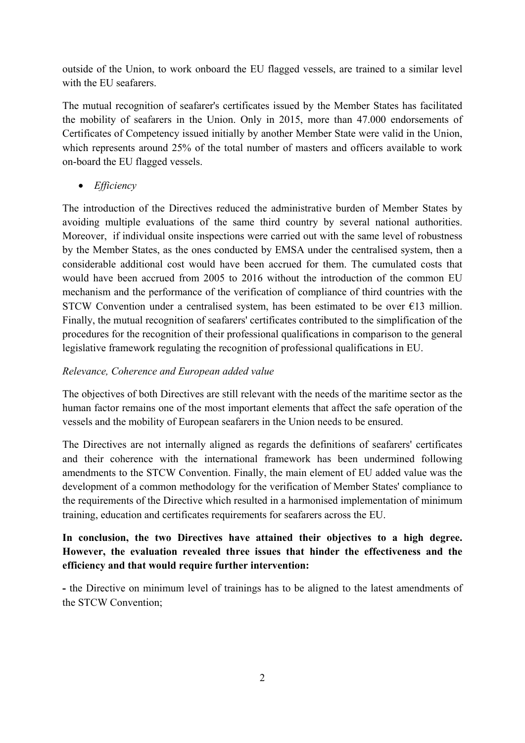outside of the Union, to work onboard the EU flagged vessels, are trained to a similar level with the EU seafarers.

The mutual recognition of seafarer's certificates issued by the Member States has facilitated the mobility of seafarers in the Union. Only in 2015, more than 47.000 endorsements of Certificates of Competency issued initially by another Member State were valid in the Union, which represents around 25% of the total number of masters and officers available to work on-board the EU flagged vessels.

• *Efficiency*

The introduction of the Directives reduced the administrative burden of Member States by avoiding multiple evaluations of the same third country by several national authorities. Moreover, if individual onsite inspections were carried out with the same level of robustness by the Member States, as the ones conducted by EMSA under the centralised system, then a considerable additional cost would have been accrued for them. The cumulated costs that would have been accrued from 2005 to 2016 without the introduction of the common EU mechanism and the performance of the verification of compliance of third countries with the STCW Convention under a centralised system, has been estimated to be over  $E13$  million. Finally, the mutual recognition of seafarers' certificates contributed to the simplification of the procedures for the recognition of their professional qualifications in comparison to the general legislative framework regulating the recognition of professional qualifications in EU.

### *Relevance, Coherence and European added value*

The objectives of both Directives are still relevant with the needs of the maritime sector as the human factor remains one of the most important elements that affect the safe operation of the vessels and the mobility of European seafarers in the Union needs to be ensured.

The Directives are not internally aligned as regards the definitions of seafarers' certificates and their coherence with the international framework has been undermined following amendments to the STCW Convention. Finally, the main element of EU added value was the development of a common methodology for the verification of Member States' compliance to the requirements of the Directive which resulted in a harmonised implementation of minimum training, education and certificates requirements for seafarers across the EU.

# **In conclusion, the two Directives have attained their objectives to a high degree. However, the evaluation revealed three issues that hinder the effectiveness and the efficiency and that would require further intervention:**

**-** the Directive on minimum level of trainings has to be aligned to the latest amendments of the STCW Convention;